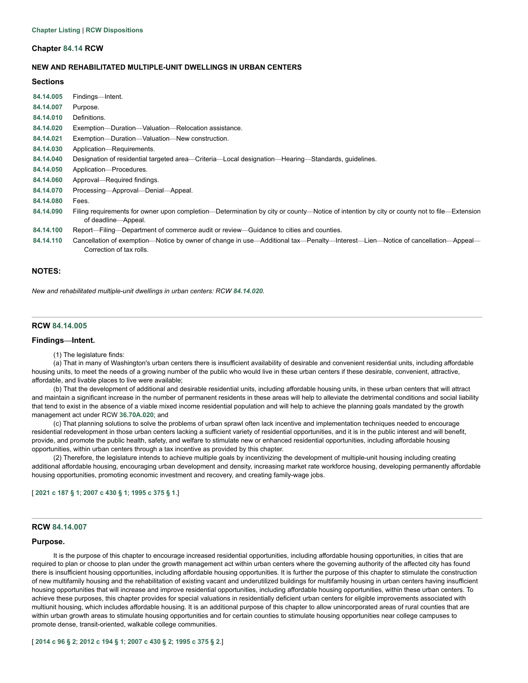## **Chapter [84.14](http://app.leg.wa.gov/RCW/default.aspx?cite=84.14) RCW**

# **NEW AND REHABILITATED MULTIPLE-UNIT DWELLINGS IN URBAN CENTERS**

# **Sections**

| 84.14.005        | Findings—Intent.                                                                                                                          |
|------------------|-------------------------------------------------------------------------------------------------------------------------------------------|
| 84.14.007        | Purpose.                                                                                                                                  |
| 84.14.010        | Definitions.                                                                                                                              |
| 84.14.020        | Exemption-Duration-Valuation-Relocation assistance.                                                                                       |
| 84.14.021        | Exemption—Duration—Valuation—New construction.                                                                                            |
| 84.14.030        | Application-Requirements.                                                                                                                 |
| 84.14.040        | Designation of residential targeted area—Criteria—Local designation—Hearing—Standards, quidelines.                                        |
| 84.14.050        | Application-Procedures.                                                                                                                   |
| 84.14.060        | Approval—Required findings.                                                                                                               |
| 84.14.070        | Processing—Approval—Denial—Appeal.                                                                                                        |
| 84.14.080        | Fees.                                                                                                                                     |
| 84.14.090        | Filing requirements for owner upon completion—Determination by city or county—Notice of intention by city or county not to file—Extension |
|                  | of deadline—Appeal.                                                                                                                       |
| 84.14.100        | Report—Filing—Department of commerce audit or review—Guidance to cities and counties.                                                     |
| <b>04 44 440</b> | Concellation of exemption. Notice by ewper of change in use Additional toy. Penalty, Intercet, Lien, Nation of cancellation. Annoal       |

**[84.14.110](#page-8-1)** Cancellation of exemption—Notice by owner of change in use—Additional tax—Penalty—Interest—Lien—Notice of cancellation—Appeal— Correction of tax rolls.

# **NOTES:**

*New and rehabilitated multiple-unit dwellings in urban centers: RCW [84.14.020](#page-1-1).*

# <span id="page-0-0"></span>**RCW [84.14.005](http://app.leg.wa.gov/RCW/default.aspx?cite=84.14.005)**

#### **Findings—Intent.**

#### (1) The legislature finds:

(a) That in many of Washington's urban centers there is insufficient availability of desirable and convenient residential units, including affordable housing units, to meet the needs of a growing number of the public who would live in these urban centers if these desirable, convenient, attractive, affordable, and livable places to live were available;

(b) That the development of additional and desirable residential units, including affordable housing units, in these urban centers that will attract and maintain a significant increase in the number of permanent residents in these areas will help to alleviate the detrimental conditions and social liability that tend to exist in the absence of a viable mixed income residential population and will help to achieve the planning goals mandated by the growth management act under RCW **[36.70A.020](http://app.leg.wa.gov/RCW/default.aspx?cite=36.70A.020)**; and

(c) That planning solutions to solve the problems of urban sprawl often lack incentive and implementation techniques needed to encourage residential redevelopment in those urban centers lacking a sufficient variety of residential opportunities, and it is in the public interest and will benefit, provide, and promote the public health, safety, and welfare to stimulate new or enhanced residential opportunities, including affordable housing opportunities, within urban centers through a tax incentive as provided by this chapter.

(2) Therefore, the legislature intends to achieve multiple goals by incentivizing the development of multiple-unit housing including creating additional affordable housing, encouraging urban development and density, increasing market rate workforce housing, developing permanently affordable housing opportunities, promoting economic investment and recovery, and creating family-wage jobs.

[ **[2021](http://lawfilesext.leg.wa.gov/biennium/2021-22/Pdf/Bills/Session%20Laws/Senate/5287-S2.SL.pdf?cite=2021%20c%20187%20%C2%A7%201) c 187 § 1**; **[2007](http://lawfilesext.leg.wa.gov/biennium/2007-08/Pdf/Bills/Session%20Laws/House/1910-S2.SL.pdf?cite=2007%20c%20430%20%C2%A7%201) c 430 § 1**; **[1995](http://lawfilesext.leg.wa.gov/biennium/1995-96/Pdf/Bills/Session%20Laws/Senate/5387-S2.SL.pdf?cite=1995%20c%20375%20%C2%A7%201) c 375 § 1**.]

#### <span id="page-0-1"></span>**RCW [84.14.007](http://app.leg.wa.gov/RCW/default.aspx?cite=84.14.007)**

#### **Purpose.**

It is the purpose of this chapter to encourage increased residential opportunities, including affordable housing opportunities, in cities that are required to plan or choose to plan under the growth management act within urban centers where the governing authority of the affected city has found there is insufficient housing opportunities, including affordable housing opportunities. It is further the purpose of this chapter to stimulate the construction of new multifamily housing and the rehabilitation of existing vacant and underutilized buildings for multifamily housing in urban centers having insufficient housing opportunities that will increase and improve residential opportunities, including affordable housing opportunities, within these urban centers. To achieve these purposes, this chapter provides for special valuations in residentially deficient urban centers for eligible improvements associated with multiunit housing, which includes affordable housing. It is an additional purpose of this chapter to allow unincorporated areas of rural counties that are within urban growth areas to stimulate housing opportunities and for certain counties to stimulate housing opportunities near college campuses to promote dense, transit-oriented, walkable college communities.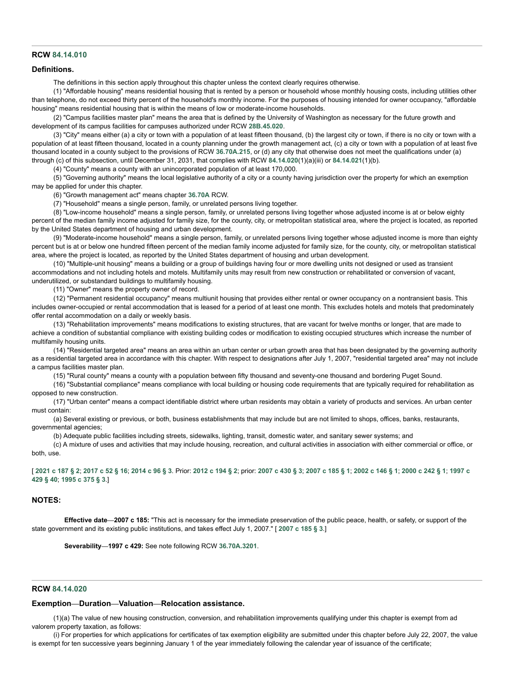### <span id="page-1-0"></span>**RCW [84.14.010](http://app.leg.wa.gov/RCW/default.aspx?cite=84.14.010)**

#### **Definitions.**

The definitions in this section apply throughout this chapter unless the context clearly requires otherwise.

(1) "Affordable housing" means residential housing that is rented by a person or household whose monthly housing costs, including utilities other than telephone, do not exceed thirty percent of the household's monthly income. For the purposes of housing intended for owner occupancy, "affordable housing" means residential housing that is within the means of low or moderate-income households.

(2) "Campus facilities master plan" means the area that is defined by the University of Washington as necessary for the future growth and development of its campus facilities for campuses authorized under RCW **[28B.45.020](http://app.leg.wa.gov/RCW/default.aspx?cite=28B.45.020)**.

(3) "City" means either (a) a city or town with a population of at least fifteen thousand, (b) the largest city or town, if there is no city or town with a population of at least fifteen thousand, located in a county planning under the growth management act, (c) a city or town with a population of at least five thousand located in a county subject to the provisions of RCW **[36.70A.215](http://app.leg.wa.gov/RCW/default.aspx?cite=36.70A.215)**, or (d) any city that otherwise does not meet the qualifications under (a) through (c) of this subsection, until December 31, 2031, that complies with RCW **[84.14.020](http://app.leg.wa.gov/RCW/default.aspx?cite=84.14.020)**(1)(a)(iii) or **[84.14.021](http://app.leg.wa.gov/RCW/default.aspx?cite=84.14.021)**(1)(b).

(4) "County" means a county with an unincorporated population of at least 170,000.

(5) "Governing authority" means the local legislative authority of a city or a county having jurisdiction over the property for which an exemption may be applied for under this chapter.

(6) "Growth management act" means chapter **[36.70A](http://app.leg.wa.gov/RCW/default.aspx?cite=36.70A)** RCW.

(7) "Household" means a single person, family, or unrelated persons living together.

(8) "Low-income household" means a single person, family, or unrelated persons living together whose adjusted income is at or below eighty percent of the median family income adjusted for family size, for the county, city, or metropolitan statistical area, where the project is located, as reported by the United States department of housing and urban development.

(9) "Moderate-income household" means a single person, family, or unrelated persons living together whose adjusted income is more than eighty percent but is at or below one hundred fifteen percent of the median family income adjusted for family size, for the county, city, or metropolitan statistical area, where the project is located, as reported by the United States department of housing and urban development.

(10) "Multiple-unit housing" means a building or a group of buildings having four or more dwelling units not designed or used as transient accommodations and not including hotels and motels. Multifamily units may result from new construction or rehabilitated or conversion of vacant, underutilized, or substandard buildings to multifamily housing.

(11) "Owner" means the property owner of record.

(12) "Permanent residential occupancy" means multiunit housing that provides either rental or owner occupancy on a nontransient basis. This includes owner-occupied or rental accommodation that is leased for a period of at least one month. This excludes hotels and motels that predominately offer rental accommodation on a daily or weekly basis.

(13) "Rehabilitation improvements" means modifications to existing structures, that are vacant for twelve months or longer, that are made to achieve a condition of substantial compliance with existing building codes or modification to existing occupied structures which increase the number of multifamily housing units.

(14) "Residential targeted area" means an area within an urban center or urban growth area that has been designated by the governing authority as a residential targeted area in accordance with this chapter. With respect to designations after July 1, 2007, "residential targeted area" may not include a campus facilities master plan.

(15) "Rural county" means a county with a population between fifty thousand and seventy-one thousand and bordering Puget Sound.

(16) "Substantial compliance" means compliance with local building or housing code requirements that are typically required for rehabilitation as opposed to new construction.

(17) "Urban center" means a compact identifiable district where urban residents may obtain a variety of products and services. An urban center must contain:

(a) Several existing or previous, or both, business establishments that may include but are not limited to shops, offices, banks, restaurants, governmental agencies;

(b) Adequate public facilities including streets, sidewalks, lighting, transit, domestic water, and sanitary sewer systems; and

(c) A mixture of uses and activities that may include housing, recreation, and cultural activities in association with either commercial or office, or both, use.

[[2021](http://lawfilesext.leg.wa.gov/biennium/2021-22/Pdf/Bills/Session%20Laws/Senate/5287-S2.SL.pdf?cite=2021%20c%20187%20%C2%A7%202) c 187 § 2; [2017](http://lawfilesext.leg.wa.gov/biennium/2017-18/Pdf/Bills/Session%20Laws/House/1107.SL.pdf?cite=2017%20c%2052%20%C2%A7%2016) c 52 § 16; [2014](http://lawfilesext.leg.wa.gov/biennium/2013-14/Pdf/Bills/Session%20Laws/Senate/6330-S2.SL.pdf?cite=2014%20c%2096%20%C2%A7%203) c 96 § 3. [Prior:](http://lawfilesext.leg.wa.gov/biennium/1997-98/Pdf/Bills/Session%20Laws/Senate/6094.SL.pdf?cite=1997%20c%20429%20%C2%A7%2040) [2012](http://lawfilesext.leg.wa.gov/biennium/2011-12/Pdf/Bills/Session%20Laws/Senate/6277-S.SL.pdf?cite=2012%20c%20194%20%C2%A7%202) c 194 § 2; prior: [2007](http://lawfilesext.leg.wa.gov/biennium/2007-08/Pdf/Bills/Session%20Laws/House/2164-S.SL.pdf?cite=2007%20c%20185%20%C2%A7%201) c 430 § 3; 2007 c 185 § 1; [2002](http://lawfilesext.leg.wa.gov/biennium/2001-02/Pdf/Bills/Session%20Laws/House/2466-S.SL.pdf?cite=2002%20c%20146%20%C2%A7%201) c 146 § 1; [2000](http://lawfilesext.leg.wa.gov/biennium/1999-00/Pdf/Bills/Session%20Laws/House/2505.SL.pdf?cite=2000%20c%20242%20%C2%A7%201) c 242 § 1; 1997 c **429 § 40**; **[1995](http://lawfilesext.leg.wa.gov/biennium/1995-96/Pdf/Bills/Session%20Laws/Senate/5387-S2.SL.pdf?cite=1995%20c%20375%20%C2%A7%203) c 375 § 3**.]

# **NOTES:**

**Effective date—2007 c 185:** "This act is necessary for the immediate preservation of the public peace, health, or safety, or support of the state government and its existing public institutions, and takes effect July 1, 2007." [ **[2007](http://lawfilesext.leg.wa.gov/biennium/2007-08/Pdf/Bills/Session%20Laws/House/2164-S.SL.pdf?cite=2007%20c%20185%20%C2%A7%203) c 185 § 3**.]

**Severability—1997 c 429:** See note following RCW **[36.70A.3201](http://app.leg.wa.gov/RCW/default.aspx?cite=36.70A.3201)**.

#### <span id="page-1-1"></span>**RCW [84.14.020](http://app.leg.wa.gov/RCW/default.aspx?cite=84.14.020)**

#### **Exemption—Duration—Valuation—Relocation assistance.**

(1)(a) The value of new housing construction, conversion, and rehabilitation improvements qualifying under this chapter is exempt from ad valorem property taxation, as follows:

(i) For properties for which applications for certificates of tax exemption eligibility are submitted under this chapter before July 22, 2007, the value is exempt for ten successive years beginning January 1 of the year immediately following the calendar year of issuance of the certificate;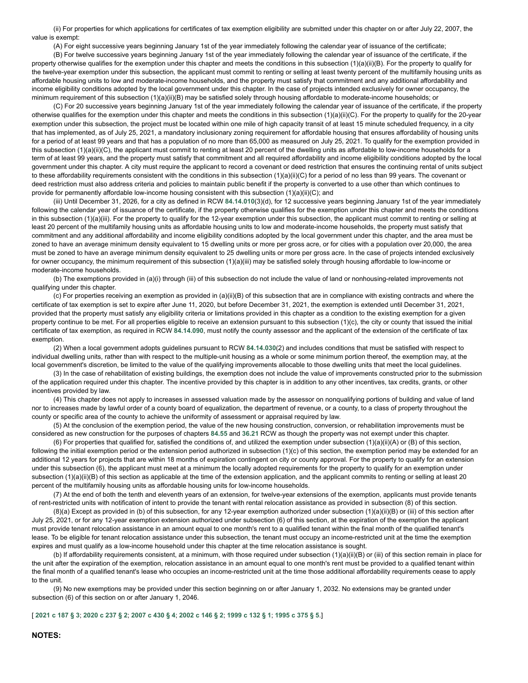(ii) For properties for which applications for certificates of tax exemption eligibility are submitted under this chapter on or after July 22, 2007, the value is exempt:

(A) For eight successive years beginning January 1st of the year immediately following the calendar year of issuance of the certificate;

(B) For twelve successive years beginning January 1st of the year immediately following the calendar year of issuance of the certificate, if the property otherwise qualifies for the exemption under this chapter and meets the conditions in this subsection (1)(a)(ii)(B). For the property to qualify for the twelve-year exemption under this subsection, the applicant must commit to renting or selling at least twenty percent of the multifamily housing units as affordable housing units to low and moderate-income households, and the property must satisfy that commitment and any additional affordability and income eligibility conditions adopted by the local government under this chapter. In the case of projects intended exclusively for owner occupancy, the minimum requirement of this subsection (1)(a)(ii)(B) may be satisfied solely through housing affordable to moderate-income households; or

(C) For 20 successive years beginning January 1st of the year immediately following the calendar year of issuance of the certificate, if the property otherwise qualifies for the exemption under this chapter and meets the conditions in this subsection (1)(a)(ii)(C). For the property to qualify for the 20-year exemption under this subsection, the project must be located within one mile of high capacity transit of at least 15 minute scheduled frequency, in a city that has implemented, as of July 25, 2021, a mandatory inclusionary zoning requirement for affordable housing that ensures affordability of housing units for a period of at least 99 years and that has a population of no more than 65,000 as measured on July 25, 2021. To qualify for the exemption provided in this subsection (1)(a)(ii)(C), the applicant must commit to renting at least 20 percent of the dwelling units as affordable to low-income households for a term of at least 99 years, and the property must satisfy that commitment and all required affordability and income eligibility conditions adopted by the local government under this chapter. A city must require the applicant to record a covenant or deed restriction that ensures the continuing rental of units subject to these affordability requirements consistent with the conditions in this subsection (1)(a)(ii)(C) for a period of no less than 99 years. The covenant or deed restriction must also address criteria and policies to maintain public benefit if the property is converted to a use other than which continues to provide for permanently affordable low-income housing consistent with this subsection (1)(a)(ii)(C); and

(iii) Until December 31, 2026, for a city as defined in RCW **[84.14.010](http://app.leg.wa.gov/RCW/default.aspx?cite=84.14.010)**(3)(d), for 12 successive years beginning January 1st of the year immediately following the calendar year of issuance of the certificate, if the property otherwise qualifies for the exemption under this chapter and meets the conditions in this subsection (1)(a)(iii). For the property to qualify for the 12-year exemption under this subsection, the applicant must commit to renting or selling at least 20 percent of the multifamily housing units as affordable housing units to low and moderate-income households, the property must satisfy that commitment and any additional affordability and income eligibility conditions adopted by the local government under this chapter, and the area must be zoned to have an average minimum density equivalent to 15 dwelling units or more per gross acre, or for cities with a population over 20,000, the area must be zoned to have an average minimum density equivalent to 25 dwelling units or more per gross acre. In the case of projects intended exclusively for owner occupancy, the minimum requirement of this subsection (1)(a)(iii) may be satisfied solely through housing affordable to low-income or moderate-income households.

(b) The exemptions provided in (a)(i) through (iii) of this subsection do not include the value of land or nonhousing-related improvements not qualifying under this chapter.

(c) For properties receiving an exemption as provided in (a)(ii)(B) of this subsection that are in compliance with existing contracts and where the certificate of tax exemption is set to expire after June 11, 2020, but before December 31, 2021, the exemption is extended until December 31, 2021, provided that the property must satisfy any eligibility criteria or limitations provided in this chapter as a condition to the existing exemption for a given property continue to be met. For all properties eligible to receive an extension pursuant to this subsection (1)(c), the city or county that issued the initial certificate of tax exemption, as required in RCW **[84.14.090](http://app.leg.wa.gov/RCW/default.aspx?cite=84.14.090)**, must notify the county assessor and the applicant of the extension of the certificate of tax exemption.

(2) When a local government adopts guidelines pursuant to RCW **[84.14.030](http://app.leg.wa.gov/RCW/default.aspx?cite=84.14.030)**(2) and includes conditions that must be satisfied with respect to individual dwelling units, rather than with respect to the multiple-unit housing as a whole or some minimum portion thereof, the exemption may, at the local government's discretion, be limited to the value of the qualifying improvements allocable to those dwelling units that meet the local guidelines.

(3) In the case of rehabilitation of existing buildings, the exemption does not include the value of improvements constructed prior to the submission of the application required under this chapter. The incentive provided by this chapter is in addition to any other incentives, tax credits, grants, or other incentives provided by law.

(4) This chapter does not apply to increases in assessed valuation made by the assessor on nonqualifying portions of building and value of land nor to increases made by lawful order of a county board of equalization, the department of revenue, or a county, to a class of property throughout the county or specific area of the county to achieve the uniformity of assessment or appraisal required by law.

(5) At the conclusion of the exemption period, the value of the new housing construction, conversion, or rehabilitation improvements must be considered as new construction for the purposes of chapters **[84.55](http://app.leg.wa.gov/RCW/default.aspx?cite=84.55)** and **[36.21](http://app.leg.wa.gov/RCW/default.aspx?cite=36.21)** RCW as though the property was not exempt under this chapter.

(6) For properties that qualified for, satisfied the conditions of, and utilized the exemption under subsection (1)(a)(ii)(A) or (B) of this section, following the initial exemption period or the extension period authorized in subsection (1)(c) of this section, the exemption period may be extended for an additional 12 years for projects that are within 18 months of expiration contingent on city or county approval. For the property to qualify for an extension under this subsection (6), the applicant must meet at a minimum the locally adopted requirements for the property to qualify for an exemption under subsection (1)(a)(ii)(B) of this section as applicable at the time of the extension application, and the applicant commits to renting or selling at least 20 percent of the multifamily housing units as affordable housing units for low-income households.

(7) At the end of both the tenth and eleventh years of an extension, for twelve-year extensions of the exemption, applicants must provide tenants of rent-restricted units with notification of intent to provide the tenant with rental relocation assistance as provided in subsection (8) of this section.

 $(8)(a)$  Except as provided in (b) of this subsection, for any 12-year exemption authorized under subsection  $(1)(a)(ii)(B)$  or (iii) of this section after July 25, 2021, or for any 12-year exemption extension authorized under subsection (6) of this section, at the expiration of the exemption the applicant must provide tenant relocation assistance in an amount equal to one month's rent to a qualified tenant within the final month of the qualified tenant's lease. To be eligible for tenant relocation assistance under this subsection, the tenant must occupy an income-restricted unit at the time the exemption expires and must qualify as a low-income household under this chapter at the time relocation assistance is sought.

(b) If affordability requirements consistent, at a minimum, with those required under subsection (1)(a)(ii)(B) or (iii) of this section remain in place for the unit after the expiration of the exemption, relocation assistance in an amount equal to one month's rent must be provided to a qualified tenant within the final month of a qualified tenant's lease who occupies an income-restricted unit at the time those additional affordability requirements cease to apply to the unit.

(9) No new exemptions may be provided under this section beginning on or after January 1, 2032. No extensions may be granted under subsection (6) of this section on or after January 1, 2046.

[[2021](http://lawfilesext.leg.wa.gov/biennium/2021-22/Pdf/Bills/Session%20Laws/Senate/5287-S2.SL.pdf?cite=2021%20c%20187%20%C2%A7%203) c 187 § 3; [2020](http://lawfilesext.leg.wa.gov/biennium/2019-20/Pdf/Bills/Session%20Laws/House/2950-S.SL.pdf?cite=2020%20c%20237%20%C2%A7%202) c 237 § 2; [2007](http://lawfilesext.leg.wa.gov/biennium/2007-08/Pdf/Bills/Session%20Laws/House/1910-S2.SL.pdf?cite=2007%20c%20430%20%C2%A7%204) c 430 § 4; [2002](http://lawfilesext.leg.wa.gov/biennium/2001-02/Pdf/Bills/Session%20Laws/House/2466-S.SL.pdf?cite=2002%20c%20146%20%C2%A7%202) c 146 § 2; [1999](http://lawfilesext.leg.wa.gov/biennium/1999-00/Pdf/Bills/Session%20Laws/Senate/5746-S.SL.pdf?cite=1999%20c%20132%20%C2%A7%201) c 132 § 1; [1995](http://lawfilesext.leg.wa.gov/biennium/1995-96/Pdf/Bills/Session%20Laws/Senate/5387-S2.SL.pdf?cite=1995%20c%20375%20%C2%A7%205) c 375 § 5.]

# **NOTES:**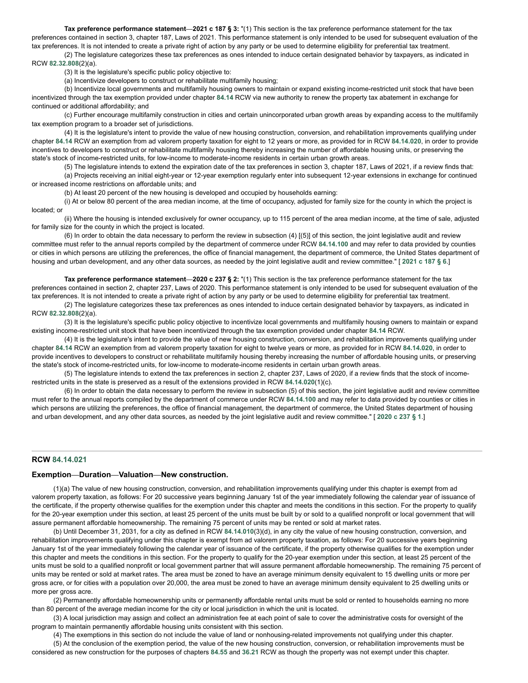**Tax preference performance statement—2021 c 187 § 3:** "(1) This section is the tax preference performance statement for the tax preferences contained in section 3, chapter 187, Laws of 2021. This performance statement is only intended to be used for subsequent evaluation of the tax preferences. It is not intended to create a private right of action by any party or be used to determine eligibility for preferential tax treatment.

(2) The legislature categorizes these tax preferences as ones intended to induce certain designated behavior by taxpayers, as indicated in RCW **[82.32.808](http://app.leg.wa.gov/RCW/default.aspx?cite=82.32.808)**(2)(a).

(3) It is the legislature's specific public policy objective to:

(a) Incentivize developers to construct or rehabilitate multifamily housing;

(b) Incentivize local governments and multifamily housing owners to maintain or expand existing income-restricted unit stock that have been incentivized through the tax exemption provided under chapter **[84.14](http://app.leg.wa.gov/RCW/default.aspx?cite=84.14)** RCW via new authority to renew the property tax abatement in exchange for continued or additional affordability; and

(c) Further encourage multifamily construction in cities and certain unincorporated urban growth areas by expanding access to the multifamily tax exemption program to a broader set of jurisdictions.

(4) It is the legislature's intent to provide the value of new housing construction, conversion, and rehabilitation improvements qualifying under chapter **[84.14](http://app.leg.wa.gov/RCW/default.aspx?cite=84.14)** RCW an exemption from ad valorem property taxation for eight to 12 years or more, as provided for in RCW **[84.14.020](http://app.leg.wa.gov/RCW/default.aspx?cite=84.14.020)**, in order to provide incentives to developers to construct or rehabilitate multifamily housing thereby increasing the number of affordable housing units, or preserving the state's stock of income-restricted units, for low-income to moderate-income residents in certain urban growth areas.

(5) The legislature intends to extend the expiration date of the tax preferences in section 3, chapter 187, Laws of 2021, if a review finds that: (a) Projects receiving an initial eight-year or 12-year exemption regularly enter into subsequent 12-year extensions in exchange for continued or increased income restrictions on affordable units; and

(b) At least 20 percent of the new housing is developed and occupied by households earning:

(i) At or below 80 percent of the area median income, at the time of occupancy, adjusted for family size for the county in which the project is located; or

(ii) Where the housing is intended exclusively for owner occupancy, up to 115 percent of the area median income, at the time of sale, adjusted for family size for the county in which the project is located.

(6) In order to obtain the data necessary to perform the review in subsection (4) [(5)] of this section, the joint legislative audit and review committee must refer to the annual reports compiled by the department of commerce under RCW **[84.14.100](http://app.leg.wa.gov/RCW/default.aspx?cite=84.14.100)** and may refer to data provided by counties or cities in which persons are utilizing the preferences, the office of financial management, the department of commerce, the United States department of housing and urban development, and any other data sources, as needed by the joint legislative audit and review committee." [ **[2021](http://lawfilesext.leg.wa.gov/biennium/2021-22/Pdf/Bills/Session%20Laws/Senate/5287-S2.SL.pdf?cite=2021%20c%20187%20%C2%A7%206) c 187 § 6**.]

**Tax preference performance statement—2020 c 237 § 2:** "(1) This section is the tax preference performance statement for the tax preferences contained in section 2, chapter 237, Laws of 2020. This performance statement is only intended to be used for subsequent evaluation of the tax preferences. It is not intended to create a private right of action by any party or be used to determine eligibility for preferential tax treatment.

(2) The legislature categorizes these tax preferences as ones intended to induce certain designated behavior by taxpayers, as indicated in RCW **[82.32.808](http://app.leg.wa.gov/RCW/default.aspx?cite=82.32.808)**(2)(a).

(3) It is the legislature's specific public policy objective to incentivize local governments and multifamily housing owners to maintain or expand existing income-restricted unit stock that have been incentivized through the tax exemption provided under chapter **[84.14](http://app.leg.wa.gov/RCW/default.aspx?cite=84.14)** RCW.

(4) It is the legislature's intent to provide the value of new housing construction, conversion, and rehabilitation improvements qualifying under chapter **[84.14](http://app.leg.wa.gov/RCW/default.aspx?cite=84.14)** RCW an exemption from ad valorem property taxation for eight to twelve years or more, as provided for in RCW **[84.14.020](http://app.leg.wa.gov/RCW/default.aspx?cite=84.14.020)**, in order to provide incentives to developers to construct or rehabilitate multifamily housing thereby increasing the number of affordable housing units, or preserving the state's stock of income-restricted units, for low-income to moderate-income residents in certain urban growth areas.

(5) The legislature intends to extend the tax preferences in section 2, chapter 237, Laws of 2020, if a review finds that the stock of incomerestricted units in the state is preserved as a result of the extensions provided in RCW **[84.14.020](http://app.leg.wa.gov/RCW/default.aspx?cite=84.14.020)**(1)(c).

(6) In order to obtain the data necessary to perform the review in subsection (5) of this section, the joint legislative audit and review committee must refer to the annual reports compiled by the department of commerce under RCW **[84.14.100](http://app.leg.wa.gov/RCW/default.aspx?cite=84.14.100)** and may refer to data provided by counties or cities in which persons are utilizing the preferences, the office of financial management, the department of commerce, the United States department of housing and urban development, and any other data sources, as needed by the joint legislative audit and review committee." [ **[2020](http://lawfilesext.leg.wa.gov/biennium/2019-20/Pdf/Bills/Session%20Laws/House/2950-S.SL.pdf?cite=2020%20c%20237%20%C2%A7%201) c 237 § 1**.]

# <span id="page-3-0"></span>**RCW [84.14.021](http://app.leg.wa.gov/RCW/default.aspx?cite=84.14.021)**

#### **Exemption—Duration—Valuation—New construction.**

(1)(a) The value of new housing construction, conversion, and rehabilitation improvements qualifying under this chapter is exempt from ad valorem property taxation, as follows: For 20 successive years beginning January 1st of the year immediately following the calendar year of issuance of the certificate, if the property otherwise qualifies for the exemption under this chapter and meets the conditions in this section. For the property to qualify for the 20-year exemption under this section, at least 25 percent of the units must be built by or sold to a qualified nonprofit or local government that will assure permanent affordable homeownership. The remaining 75 percent of units may be rented or sold at market rates.

(b) Until December 31, 2031, for a city as defined in RCW **[84.14.010](http://app.leg.wa.gov/RCW/default.aspx?cite=84.14.010)**(3)(d), in any city the value of new housing construction, conversion, and rehabilitation improvements qualifying under this chapter is exempt from ad valorem property taxation, as follows: For 20 successive years beginning January 1st of the year immediately following the calendar year of issuance of the certificate, if the property otherwise qualifies for the exemption under this chapter and meets the conditions in this section. For the property to qualify for the 20-year exemption under this section, at least 25 percent of the units must be sold to a qualified nonprofit or local government partner that will assure permanent affordable homeownership. The remaining 75 percent of units may be rented or sold at market rates. The area must be zoned to have an average minimum density equivalent to 15 dwelling units or more per gross acre, or for cities with a population over 20,000, the area must be zoned to have an average minimum density equivalent to 25 dwelling units or more per gross acre.

(2) Permanently affordable homeownership units or permanently affordable rental units must be sold or rented to households earning no more than 80 percent of the average median income for the city or local jurisdiction in which the unit is located.

(3) A local jurisdiction may assign and collect an administration fee at each point of sale to cover the administrative costs for oversight of the program to maintain permanently affordable housing units consistent with this section.

(4) The exemptions in this section do not include the value of land or nonhousing-related improvements not qualifying under this chapter. (5) At the conclusion of the exemption period, the value of the new housing construction, conversion, or rehabilitation improvements must be considered as new construction for the purposes of chapters **[84.55](http://app.leg.wa.gov/RCW/default.aspx?cite=84.55)** and **[36.21](http://app.leg.wa.gov/RCW/default.aspx?cite=36.21)** RCW as though the property was not exempt under this chapter.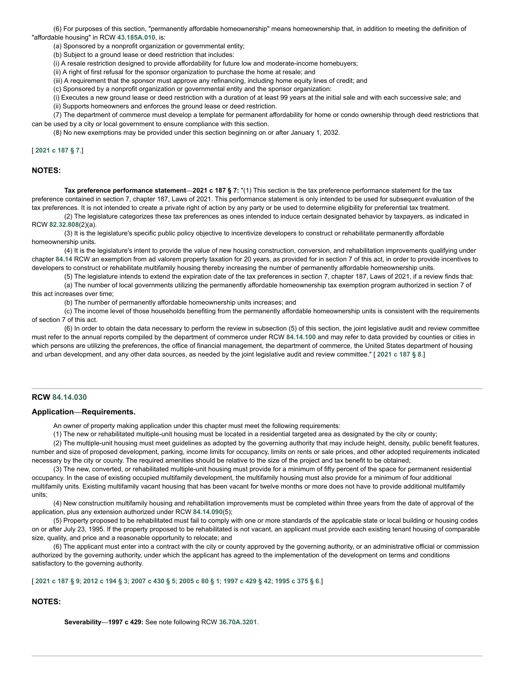(6) For purposes of this section, "permanently affordable homeownership" means homeownership that, in addition to meeting the definition of "affordable housing" in RCW **[43.185A.010](http://app.leg.wa.gov/RCW/default.aspx?cite=43.185A.010)**, is:

(a) Sponsored by a nonprofit organization or governmental entity;

(b) Subject to a ground lease or deed restriction that includes:

(i) A resale restriction designed to provide affordability for future low and moderate-income homebuyers;

(ii) A right of first refusal for the sponsor organization to purchase the home at resale; and

(iii) A requirement that the sponsor must approve any refinancing, including home equity lines of credit; and

(c) Sponsored by a nonprofit organization or governmental entity and the sponsor organization:

(i) Executes a new ground lease or deed restriction with a duration of at least 99 years at the initial sale and with each successive sale; and

(ii) Supports homeowners and enforces the ground lease or deed restriction.

(7) The department of commerce must develop a template for permanent affordability for home or condo ownership through deed restrictions that can be used by a city or local government to ensure compliance with this section.

(8) No new exemptions may be provided under this section beginning on or after January 1, 2032.

[ **[2021](http://lawfilesext.leg.wa.gov/biennium/2021-22/Pdf/Bills/Session%20Laws/Senate/5287-S2.SL.pdf?cite=2021%20c%20187%20%C2%A7%207) c 187 § 7**.]

#### **NOTES:**

**Tax preference performance statement—2021 c 187 § 7:** "(1) This section is the tax preference performance statement for the tax preference contained in section 7, chapter 187, Laws of 2021. This performance statement is only intended to be used for subsequent evaluation of the tax preferences. It is not intended to create a private right of action by any party or be used to determine eligibility for preferential tax treatment.

(2) The legislature categorizes these tax preferences as ones intended to induce certain designated behavior by taxpayers, as indicated in RCW **[82.32.808](http://app.leg.wa.gov/RCW/default.aspx?cite=82.32.808)**(2)(a).

(3) It is the legislature's specific public policy objective to incentivize developers to construct or rehabilitate permanently affordable homeownership units.

(4) It is the legislature's intent to provide the value of new housing construction, conversion, and rehabilitation improvements qualifying under chapter **[84.14](http://app.leg.wa.gov/RCW/default.aspx?cite=84.14)** RCW an exemption from ad valorem property taxation for 20 years, as provided for in section 7 of this act, in order to provide incentives to developers to construct or rehabilitate multifamily housing thereby increasing the number of permanently affordable homeownership units.

(5) The legislature intends to extend the expiration date of the tax preferences in section 7, chapter 187, Laws of 2021, if a review finds that:

(a) The number of local governments utilizing the permanently affordable homeownership tax exemption program authorized in section 7 of this act increases over time;

(b) The number of permanently affordable homeownership units increases; and

(c) The income level of those households benefiting from the permanently affordable homeownership units is consistent with the requirements of section 7 of this act.

(6) In order to obtain the data necessary to perform the review in subsection (5) of this section, the joint legislative audit and review committee must refer to the annual reports compiled by the department of commerce under RCW **[84.14.100](http://app.leg.wa.gov/RCW/default.aspx?cite=84.14.100)** and may refer to data provided by counties or cities in which persons are utilizing the preferences, the office of financial management, the department of commerce, the United States department of housing and urban development, and any other data sources, as needed by the joint legislative audit and review committee." [ **[2021](http://lawfilesext.leg.wa.gov/biennium/2021-22/Pdf/Bills/Session%20Laws/Senate/5287-S2.SL.pdf?cite=2021%20c%20187%20%C2%A7%208) c 187 § 8**.]

#### <span id="page-4-0"></span>**RCW [84.14.030](http://app.leg.wa.gov/RCW/default.aspx?cite=84.14.030)**

#### **Application—Requirements.**

An owner of property making application under this chapter must meet the following requirements:

(1) The new or rehabilitated multiple-unit housing must be located in a residential targeted area as designated by the city or county;

(2) The multiple-unit housing must meet guidelines as adopted by the governing authority that may include height, density, public benefit features, number and size of proposed development, parking, income limits for occupancy, limits on rents or sale prices, and other adopted requirements indicated necessary by the city or county. The required amenities should be relative to the size of the project and tax benefit to be obtained;

(3) The new, converted, or rehabilitated multiple-unit housing must provide for a minimum of fifty percent of the space for permanent residential occupancy. In the case of existing occupied multifamily development, the multifamily housing must also provide for a minimum of four additional multifamily units. Existing multifamily vacant housing that has been vacant for twelve months or more does not have to provide additional multifamily units;

(4) New construction multifamily housing and rehabilitation improvements must be completed within three years from the date of approval of the application, plus any extension authorized under RCW **[84.14.090](http://app.leg.wa.gov/RCW/default.aspx?cite=84.14.090)**(5);

(5) Property proposed to be rehabilitated must fail to comply with one or more standards of the applicable state or local building or housing codes on or after July 23, 1995. If the property proposed to be rehabilitated is not vacant, an applicant must provide each existing tenant housing of comparable size, quality, and price and a reasonable opportunity to relocate; and

(6) The applicant must enter into a contract with the city or county approved by the governing authority, or an administrative official or commission authorized by the governing authority, under which the applicant has agreed to the implementation of the development on terms and conditions satisfactory to the governing authority.

#### [[2021](http://lawfilesext.leg.wa.gov/biennium/2021-22/Pdf/Bills/Session%20Laws/Senate/5287-S2.SL.pdf?cite=2021%20c%20187%20%C2%A7%209) c 187 § 9; [2012](http://lawfilesext.leg.wa.gov/biennium/2011-12/Pdf/Bills/Session%20Laws/Senate/6277-S.SL.pdf?cite=2012%20c%20194%20%C2%A7%203) c 194 § 3; [2007](http://lawfilesext.leg.wa.gov/biennium/2007-08/Pdf/Bills/Session%20Laws/House/1910-S2.SL.pdf?cite=2007%20c%20430%20%C2%A7%205) c 430 § 5; [2005](http://lawfilesext.leg.wa.gov/biennium/2005-06/Pdf/Bills/Session%20Laws/Senate/5713.SL.pdf?cite=2005%20c%2080%20%C2%A7%201) c 80 § 1; [1997](http://lawfilesext.leg.wa.gov/biennium/1997-98/Pdf/Bills/Session%20Laws/Senate/6094.SL.pdf?cite=1997%20c%20429%20%C2%A7%2042) c 429 § 42; [1995](http://lawfilesext.leg.wa.gov/biennium/1995-96/Pdf/Bills/Session%20Laws/Senate/5387-S2.SL.pdf?cite=1995%20c%20375%20%C2%A7%206) c 375 § 6.]

# **NOTES:**

**Severability—1997 c 429:** See note following RCW **[36.70A.3201](http://app.leg.wa.gov/RCW/default.aspx?cite=36.70A.3201)**.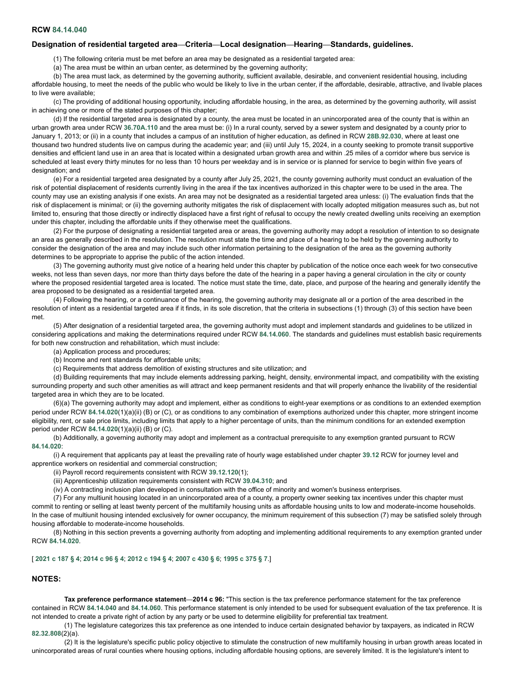#### <span id="page-5-0"></span>**RCW [84.14.040](http://app.leg.wa.gov/RCW/default.aspx?cite=84.14.040)**

### **Designation of residential targeted area—Criteria—Local designation—Hearing—Standards, guidelines.**

(1) The following criteria must be met before an area may be designated as a residential targeted area:

(a) The area must be within an urban center, as determined by the governing authority;

(b) The area must lack, as determined by the governing authority, sufficient available, desirable, and convenient residential housing, including

affordable housing, to meet the needs of the public who would be likely to live in the urban center, if the affordable, desirable, attractive, and livable places to live were available;

(c) The providing of additional housing opportunity, including affordable housing, in the area, as determined by the governing authority, will assist in achieving one or more of the stated purposes of this chapter;

(d) If the residential targeted area is designated by a county, the area must be located in an unincorporated area of the county that is within an urban growth area under RCW **[36.70A.110](http://app.leg.wa.gov/RCW/default.aspx?cite=36.70A.110)** and the area must be: (i) In a rural county, served by a sewer system and designated by a county prior to January 1, 2013; or (ii) in a county that includes a campus of an institution of higher education, as defined in RCW **[28B.92.030](http://app.leg.wa.gov/RCW/default.aspx?cite=28B.92.030)**, where at least one thousand two hundred students live on campus during the academic year; and (iii) until July 15, 2024, in a county seeking to promote transit supportive densities and efficient land use in an area that is located within a designated urban growth area and within .25 miles of a corridor where bus service is scheduled at least every thirty minutes for no less than 10 hours per weekday and is in service or is planned for service to begin within five years of designation; and

(e) For a residential targeted area designated by a county after July 25, 2021, the county governing authority must conduct an evaluation of the risk of potential displacement of residents currently living in the area if the tax incentives authorized in this chapter were to be used in the area. The county may use an existing analysis if one exists. An area may not be designated as a residential targeted area unless: (i) The evaluation finds that the risk of displacement is minimal; or (ii) the governing authority mitigates the risk of displacement with locally adopted mitigation measures such as, but not limited to, ensuring that those directly or indirectly displaced have a first right of refusal to occupy the newly created dwelling units receiving an exemption under this chapter, including the affordable units if they otherwise meet the qualifications.

(2) For the purpose of designating a residential targeted area or areas, the governing authority may adopt a resolution of intention to so designate an area as generally described in the resolution. The resolution must state the time and place of a hearing to be held by the governing authority to consider the designation of the area and may include such other information pertaining to the designation of the area as the governing authority determines to be appropriate to apprise the public of the action intended.

(3) The governing authority must give notice of a hearing held under this chapter by publication of the notice once each week for two consecutive weeks, not less than seven days, nor more than thirty days before the date of the hearing in a paper having a general circulation in the city or county where the proposed residential targeted area is located. The notice must state the time, date, place, and purpose of the hearing and generally identify the area proposed to be designated as a residential targeted area.

(4) Following the hearing, or a continuance of the hearing, the governing authority may designate all or a portion of the area described in the resolution of intent as a residential targeted area if it finds, in its sole discretion, that the criteria in subsections (1) through (3) of this section have been met.

(5) After designation of a residential targeted area, the governing authority must adopt and implement standards and guidelines to be utilized in considering applications and making the determinations required under RCW **[84.14.060](http://app.leg.wa.gov/RCW/default.aspx?cite=84.14.060)**. The standards and guidelines must establish basic requirements for both new construction and rehabilitation, which must include:

(a) Application process and procedures;

(b) Income and rent standards for affordable units;

(c) Requirements that address demolition of existing structures and site utilization; and

(d) Building requirements that may include elements addressing parking, height, density, environmental impact, and compatibility with the existing surrounding property and such other amenities as will attract and keep permanent residents and that will properly enhance the livability of the residential targeted area in which they are to be located.

(6)(a) The governing authority may adopt and implement, either as conditions to eight-year exemptions or as conditions to an extended exemption period under RCW **[84.14.020](http://app.leg.wa.gov/RCW/default.aspx?cite=84.14.020)**(1)(a)(ii) (B) or (C), or as conditions to any combination of exemptions authorized under this chapter, more stringent income eligibility, rent, or sale price limits, including limits that apply to a higher percentage of units, than the minimum conditions for an extended exemption period under RCW **[84.14.020](http://app.leg.wa.gov/RCW/default.aspx?cite=84.14.020)**(1)(a)(ii) (B) or (C).

(b) Additionally, a governing authority may adopt and implement as a contractual prerequisite to any exemption granted pursuant to RCW **[84.14.020](http://app.leg.wa.gov/RCW/default.aspx?cite=84.14.020)**:

(i) A requirement that applicants pay at least the prevailing rate of hourly wage established under chapter **[39.12](http://app.leg.wa.gov/RCW/default.aspx?cite=39.12)** RCW for journey level and apprentice workers on residential and commercial construction;

(ii) Payroll record requirements consistent with RCW **[39.12.120](http://app.leg.wa.gov/RCW/default.aspx?cite=39.12.120)**(1);

(iii) Apprenticeship utilization requirements consistent with RCW **[39.04.310](http://app.leg.wa.gov/RCW/default.aspx?cite=39.04.310)**; and

(iv) A contracting inclusion plan developed in consultation with the office of minority and women's business enterprises.

(7) For any multiunit housing located in an unincorporated area of a county, a property owner seeking tax incentives under this chapter must commit to renting or selling at least twenty percent of the multifamily housing units as affordable housing units to low and moderate-income households. In the case of multiunit housing intended exclusively for owner occupancy, the minimum requirement of this subsection (7) may be satisfied solely through housing affordable to moderate-income households.

(8) Nothing in this section prevents a governing authority from adopting and implementing additional requirements to any exemption granted under RCW **[84.14.020](http://app.leg.wa.gov/RCW/default.aspx?cite=84.14.020)**.

### [[2021](http://lawfilesext.leg.wa.gov/biennium/2021-22/Pdf/Bills/Session%20Laws/Senate/5287-S2.SL.pdf?cite=2021%20c%20187%20%C2%A7%204) c 187 § 4; [2014](http://lawfilesext.leg.wa.gov/biennium/2013-14/Pdf/Bills/Session%20Laws/Senate/6330-S2.SL.pdf?cite=2014%20c%2096%20%C2%A7%204) c 96 § 4; [2012](http://lawfilesext.leg.wa.gov/biennium/2011-12/Pdf/Bills/Session%20Laws/Senate/6277-S.SL.pdf?cite=2012%20c%20194%20%C2%A7%204) c 194 § 4; [2007](http://lawfilesext.leg.wa.gov/biennium/2007-08/Pdf/Bills/Session%20Laws/House/1910-S2.SL.pdf?cite=2007%20c%20430%20%C2%A7%206) c 430 § 6; [1995](http://lawfilesext.leg.wa.gov/biennium/1995-96/Pdf/Bills/Session%20Laws/Senate/5387-S2.SL.pdf?cite=1995%20c%20375%20%C2%A7%207) c 375 § 7.]

### **NOTES:**

**Tax preference performance statement—2014 c 96:** "This section is the tax preference performance statement for the tax preference contained in RCW **[84.14.040](http://app.leg.wa.gov/RCW/default.aspx?cite=84.14.040)** and **[84.14.060](http://app.leg.wa.gov/RCW/default.aspx?cite=84.14.060)**. This performance statement is only intended to be used for subsequent evaluation of the tax preference. It is not intended to create a private right of action by any party or be used to determine eligibility for preferential tax treatment.

(1) The legislature categorizes this tax preference as one intended to induce certain designated behavior by taxpayers, as indicated in RCW **[82.32.808](http://app.leg.wa.gov/RCW/default.aspx?cite=82.32.808)**(2)(a).

(2) It is the legislature's specific public policy objective to stimulate the construction of new multifamily housing in urban growth areas located in unincorporated areas of rural counties where housing options, including affordable housing options, are severely limited. It is the legislature's intent to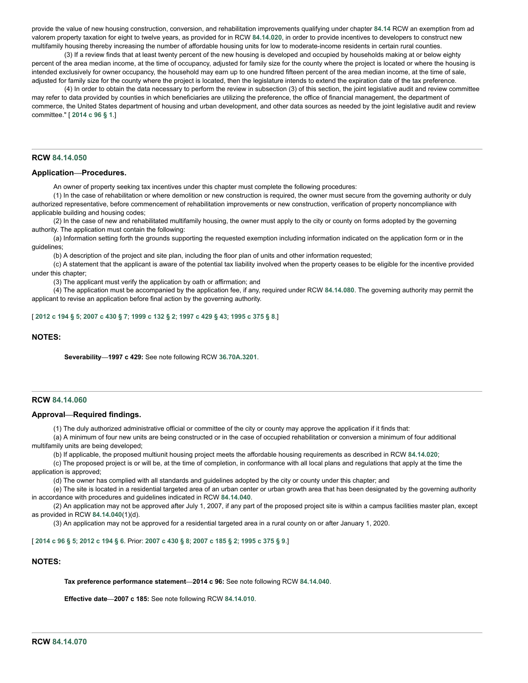provide the value of new housing construction, conversion, and rehabilitation improvements qualifying under chapter **[84.14](http://app.leg.wa.gov/RCW/default.aspx?cite=84.14)** RCW an exemption from ad valorem property taxation for eight to twelve years, as provided for in RCW **[84.14.020](http://app.leg.wa.gov/RCW/default.aspx?cite=84.14.020)**, in order to provide incentives to developers to construct new multifamily housing thereby increasing the number of affordable housing units for low to moderate-income residents in certain rural counties.

(3) If a review finds that at least twenty percent of the new housing is developed and occupied by households making at or below eighty percent of the area median income, at the time of occupancy, adjusted for family size for the county where the project is located or where the housing is intended exclusively for owner occupancy, the household may earn up to one hundred fifteen percent of the area median income, at the time of sale, adjusted for family size for the county where the project is located, then the legislature intends to extend the expiration date of the tax preference.

(4) In order to obtain the data necessary to perform the review in subsection (3) of this section, the joint legislative audit and review committee may refer to data provided by counties in which beneficiaries are utilizing the preference, the office of financial management, the department of commerce, the United States department of housing and urban development, and other data sources as needed by the joint legislative audit and review committee." [ **[2014](http://lawfilesext.leg.wa.gov/biennium/2013-14/Pdf/Bills/Session%20Laws/Senate/6330-S2.SL.pdf?cite=2014%20c%2096%20%C2%A7%201) c 96 § 1**.]

# <span id="page-6-0"></span>**RCW [84.14.050](http://app.leg.wa.gov/RCW/default.aspx?cite=84.14.050)**

## **Application—Procedures.**

An owner of property seeking tax incentives under this chapter must complete the following procedures:

(1) In the case of rehabilitation or where demolition or new construction is required, the owner must secure from the governing authority or duly authorized representative, before commencement of rehabilitation improvements or new construction, verification of property noncompliance with applicable building and housing codes;

(2) In the case of new and rehabilitated multifamily housing, the owner must apply to the city or county on forms adopted by the governing authority. The application must contain the following:

(a) Information setting forth the grounds supporting the requested exemption including information indicated on the application form or in the guidelines;

(b) A description of the project and site plan, including the floor plan of units and other information requested;

(c) A statement that the applicant is aware of the potential tax liability involved when the property ceases to be eligible for the incentive provided under this chapter;

(3) The applicant must verify the application by oath or affirmation; and

(4) The application must be accompanied by the application fee, if any, required under RCW **[84.14.080](http://app.leg.wa.gov/RCW/default.aspx?cite=84.14.080)**. The governing authority may permit the applicant to revise an application before final action by the governing authority.

# [[2012](http://lawfilesext.leg.wa.gov/biennium/2011-12/Pdf/Bills/Session%20Laws/Senate/6277-S.SL.pdf?cite=2012%20c%20194%20%C2%A7%205) c 194 § 5; [2007](http://lawfilesext.leg.wa.gov/biennium/2007-08/Pdf/Bills/Session%20Laws/House/1910-S2.SL.pdf?cite=2007%20c%20430%20%C2%A7%207) c 430 § 7; [1999](http://lawfilesext.leg.wa.gov/biennium/1999-00/Pdf/Bills/Session%20Laws/Senate/5746-S.SL.pdf?cite=1999%20c%20132%20%C2%A7%202) c 132 § 2; [1997](http://lawfilesext.leg.wa.gov/biennium/1997-98/Pdf/Bills/Session%20Laws/Senate/6094.SL.pdf?cite=1997%20c%20429%20%C2%A7%2043) c 429 § 43; [1995](http://lawfilesext.leg.wa.gov/biennium/1995-96/Pdf/Bills/Session%20Laws/Senate/5387-S2.SL.pdf?cite=1995%20c%20375%20%C2%A7%208) c 375 § 8 ]

### **NOTES:**

**Severability—1997 c 429:** See note following RCW **[36.70A.3201](http://app.leg.wa.gov/RCW/default.aspx?cite=36.70A.3201)**.

## <span id="page-6-1"></span>**RCW [84.14.060](http://app.leg.wa.gov/RCW/default.aspx?cite=84.14.060)**

#### **Approval—Required findings.**

(1) The duly authorized administrative official or committee of the city or county may approve the application if it finds that:

(a) A minimum of four new units are being constructed or in the case of occupied rehabilitation or conversion a minimum of four additional multifamily units are being developed;

(b) If applicable, the proposed multiunit housing project meets the affordable housing requirements as described in RCW **[84.14.020](http://app.leg.wa.gov/RCW/default.aspx?cite=84.14.020)**;

(c) The proposed project is or will be, at the time of completion, in conformance with all local plans and regulations that apply at the time the application is approved;

(d) The owner has complied with all standards and guidelines adopted by the city or county under this chapter; and

(e) The site is located in a residential targeted area of an urban center or urban growth area that has been designated by the governing authority in accordance with procedures and guidelines indicated in RCW **[84.14.040](http://app.leg.wa.gov/RCW/default.aspx?cite=84.14.040)**.

(2) An application may not be approved after July 1, 2007, if any part of the proposed project site is within a campus facilities master plan, except as provided in RCW **[84.14.040](http://app.leg.wa.gov/RCW/default.aspx?cite=84.14.040)**(1)(d).

(3) An application may not be approved for a residential targeted area in a rural county on or after January 1, 2020.

#### [[2014](http://lawfilesext.leg.wa.gov/biennium/2013-14/Pdf/Bills/Session%20Laws/Senate/6330-S2.SL.pdf?cite=2014%20c%2096%20%C2%A7%205) c 96 § 5; [2012](http://lawfilesext.leg.wa.gov/biennium/2011-12/Pdf/Bills/Session%20Laws/Senate/6277-S.SL.pdf?cite=2012%20c%20194%20%C2%A7%206) c 194 § 6. Prior: [2007](http://lawfilesext.leg.wa.gov/biennium/2007-08/Pdf/Bills/Session%20Laws/House/2164-S.SL.pdf?cite=2007%20c%20185%20%C2%A7%202) c 430 § 8; 2007 c 185 § 2; [1995](http://lawfilesext.leg.wa.gov/biennium/1995-96/Pdf/Bills/Session%20Laws/Senate/5387-S2.SL.pdf?cite=1995%20c%20375%20%C2%A7%209) c 375 § 9 ]

# **NOTES:**

**Tax preference performance statement—2014 c 96:** See note following RCW **[84.14.040](http://app.leg.wa.gov/RCW/default.aspx?cite=84.14.040)**.

<span id="page-6-2"></span>**Effective date—2007 c 185:** See note following RCW **[84.14.010](http://app.leg.wa.gov/RCW/default.aspx?cite=84.14.010)**.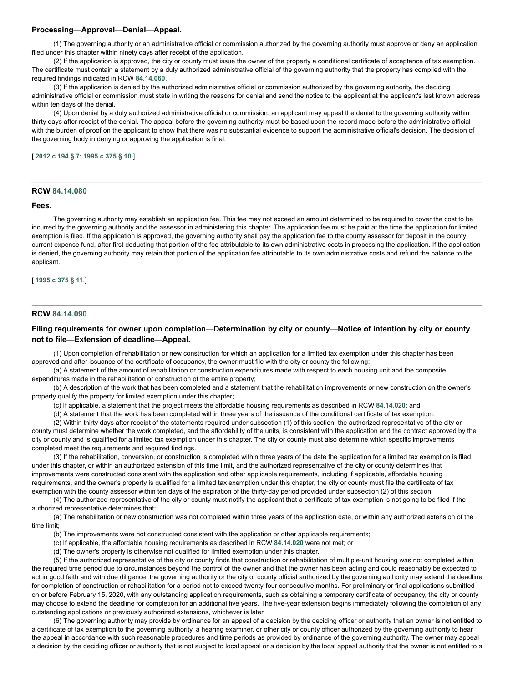# **Processing—Approval—Denial—Appeal.**

(1) The governing authority or an administrative official or commission authorized by the governing authority must approve or deny an application filed under this chapter within ninety days after receipt of the application.

(2) If the application is approved, the city or county must issue the owner of the property a conditional certificate of acceptance of tax exemption. The certificate must contain a statement by a duly authorized administrative official of the governing authority that the property has complied with the required findings indicated in RCW **[84.14.060](http://app.leg.wa.gov/RCW/default.aspx?cite=84.14.060)**.

(3) If the application is denied by the authorized administrative official or commission authorized by the governing authority, the deciding administrative official or commission must state in writing the reasons for denial and send the notice to the applicant at the applicant's last known address within ten days of the denial.

(4) Upon denial by a duly authorized administrative official or commission, an applicant may appeal the denial to the governing authority within thirty days after receipt of the denial. The appeal before the governing authority must be based upon the record made before the administrative official with the burden of proof on the applicant to show that there was no substantial evidence to support the administrative official's decision. The decision of the governing body in denying or approving the application is final.

### [ **[2012](http://lawfilesext.leg.wa.gov/biennium/2011-12/Pdf/Bills/Session%20Laws/Senate/6277-S.SL.pdf?cite=2012%20c%20194%20%C2%A7%207) c 194 § 7**; **[1995](http://lawfilesext.leg.wa.gov/biennium/1995-96/Pdf/Bills/Session%20Laws/Senate/5387-S2.SL.pdf?cite=1995%20c%20375%20%C2%A7%2010) c 375 § 10**.]

# <span id="page-7-0"></span>**RCW [84.14.080](http://app.leg.wa.gov/RCW/default.aspx?cite=84.14.080)**

### **Fees.**

The governing authority may establish an application fee. This fee may not exceed an amount determined to be required to cover the cost to be incurred by the governing authority and the assessor in administering this chapter. The application fee must be paid at the time the application for limited exemption is filed. If the application is approved, the governing authority shall pay the application fee to the county assessor for deposit in the county current expense fund, after first deducting that portion of the fee attributable to its own administrative costs in processing the application. If the application is denied, the governing authority may retain that portion of the application fee attributable to its own administrative costs and refund the balance to the applicant.

#### [ **[1995](http://lawfilesext.leg.wa.gov/biennium/1995-96/Pdf/Bills/Session%20Laws/Senate/5387-S2.SL.pdf?cite=1995%20c%20375%20%C2%A7%2011) c 375 § 11**.]

#### <span id="page-7-1"></span>**RCW [84.14.090](http://app.leg.wa.gov/RCW/default.aspx?cite=84.14.090)**

## Filing requirements for owner upon completion—Determination by city or county—Notice of intention by city or county **not to file—Extension of deadline—Appeal.**

(1) Upon completion of rehabilitation or new construction for which an application for a limited tax exemption under this chapter has been approved and after issuance of the certificate of occupancy, the owner must file with the city or county the following:

(a) A statement of the amount of rehabilitation or construction expenditures made with respect to each housing unit and the composite expenditures made in the rehabilitation or construction of the entire property;

(b) A description of the work that has been completed and a statement that the rehabilitation improvements or new construction on the owner's property qualify the property for limited exemption under this chapter;

(c) If applicable, a statement that the project meets the affordable housing requirements as described in RCW **[84.14.020](http://app.leg.wa.gov/RCW/default.aspx?cite=84.14.020)**; and

(d) A statement that the work has been completed within three years of the issuance of the conditional certificate of tax exemption.

(2) Within thirty days after receipt of the statements required under subsection (1) of this section, the authorized representative of the city or county must determine whether the work completed, and the affordability of the units, is consistent with the application and the contract approved by the city or county and is qualified for a limited tax exemption under this chapter. The city or county must also determine which specific improvements completed meet the requirements and required findings.

(3) If the rehabilitation, conversion, or construction is completed within three years of the date the application for a limited tax exemption is filed under this chapter, or within an authorized extension of this time limit, and the authorized representative of the city or county determines that improvements were constructed consistent with the application and other applicable requirements, including if applicable, affordable housing requirements, and the owner's property is qualified for a limited tax exemption under this chapter, the city or county must file the certificate of tax exemption with the county assessor within ten days of the expiration of the thirty-day period provided under subsection (2) of this section.

(4) The authorized representative of the city or county must notify the applicant that a certificate of tax exemption is not going to be filed if the authorized representative determines that:

(a) The rehabilitation or new construction was not completed within three years of the application date, or within any authorized extension of the time limit;

(b) The improvements were not constructed consistent with the application or other applicable requirements;

(c) If applicable, the affordable housing requirements as described in RCW **[84.14.020](http://app.leg.wa.gov/RCW/default.aspx?cite=84.14.020)** were not met; or

(d) The owner's property is otherwise not qualified for limited exemption under this chapter.

(5) If the authorized representative of the city or county finds that construction or rehabilitation of multiple-unit housing was not completed within the required time period due to circumstances beyond the control of the owner and that the owner has been acting and could reasonably be expected to act in good faith and with due diligence, the governing authority or the city or county official authorized by the governing authority may extend the deadline for completion of construction or rehabilitation for a period not to exceed twenty-four consecutive months. For preliminary or final applications submitted on or before February 15, 2020, with any outstanding application requirements, such as obtaining a temporary certificate of occupancy, the city or county may choose to extend the deadline for completion for an additional five years. The five-year extension begins immediately following the completion of any outstanding applications or previously authorized extensions, whichever is later.

(6) The governing authority may provide by ordinance for an appeal of a decision by the deciding officer or authority that an owner is not entitled to a certificate of tax exemption to the governing authority, a hearing examiner, or other city or county officer authorized by the governing authority to hear the appeal in accordance with such reasonable procedures and time periods as provided by ordinance of the governing authority. The owner may appeal a decision by the deciding officer or authority that is not subject to local appeal or a decision by the local appeal authority that the owner is not entitled to a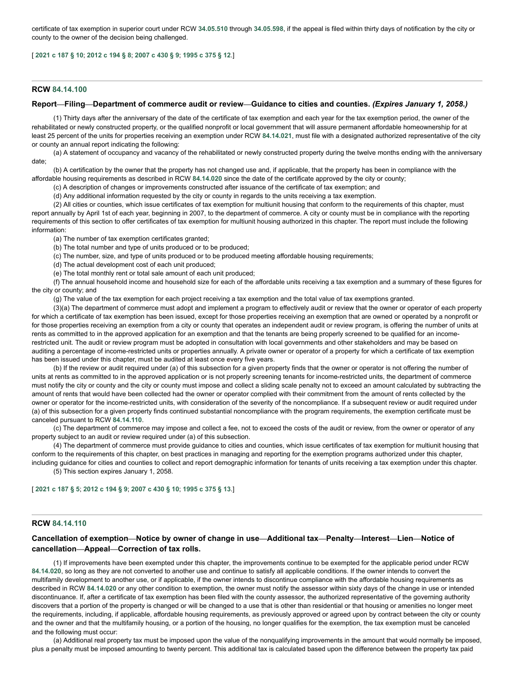certificate of tax exemption in superior court under RCW **[34.05.510](http://app.leg.wa.gov/RCW/default.aspx?cite=34.05.510)** through **[34.05.598](http://app.leg.wa.gov/RCW/default.aspx?cite=34.05.598)**, if the appeal is filed within thirty days of notification by the city or county to the owner of the decision being challenged.

# [ **[2021](http://lawfilesext.leg.wa.gov/biennium/2021-22/Pdf/Bills/Session%20Laws/Senate/5287-S2.SL.pdf?cite=2021%20c%20187%20%C2%A7%2010) c 187 § 10**; **[2012](http://lawfilesext.leg.wa.gov/biennium/2011-12/Pdf/Bills/Session%20Laws/Senate/6277-S.SL.pdf?cite=2012%20c%20194%20%C2%A7%208) c 194 § 8**; **[2007](http://lawfilesext.leg.wa.gov/biennium/2007-08/Pdf/Bills/Session%20Laws/House/1910-S2.SL.pdf?cite=2007%20c%20430%20%C2%A7%209) c 430 § 9**; **[1995](http://lawfilesext.leg.wa.gov/biennium/1995-96/Pdf/Bills/Session%20Laws/Senate/5387-S2.SL.pdf?cite=1995%20c%20375%20%C2%A7%2012) c 375 § 12**.]

# <span id="page-8-0"></span>**RCW [84.14.100](http://app.leg.wa.gov/RCW/default.aspx?cite=84.14.100)**

### Report—Filing—Department of commerce audit or review—Guidance to cities and counties. (Expires January 1, 2058.)

(1) Thirty days after the anniversary of the date of the certificate of tax exemption and each year for the tax exemption period, the owner of the rehabilitated or newly constructed property, or the qualified nonprofit or local government that will assure permanent affordable homeownership for at least 25 percent of the units for properties receiving an exemption under RCW **[84.14.021](http://app.leg.wa.gov/RCW/default.aspx?cite=84.14.021)**, must file with a designated authorized representative of the city or county an annual report indicating the following:

(a) A statement of occupancy and vacancy of the rehabilitated or newly constructed property during the twelve months ending with the anniversary date;

(b) A certification by the owner that the property has not changed use and, if applicable, that the property has been in compliance with the affordable housing requirements as described in RCW **[84.14.020](http://app.leg.wa.gov/RCW/default.aspx?cite=84.14.020)** since the date of the certificate approved by the city or county;

(c) A description of changes or improvements constructed after issuance of the certificate of tax exemption; and

(d) Any additional information requested by the city or county in regards to the units receiving a tax exemption.

(2) All cities or counties, which issue certificates of tax exemption for multiunit housing that conform to the requirements of this chapter, must report annually by April 1st of each year, beginning in 2007, to the department of commerce. A city or county must be in compliance with the reporting requirements of this section to offer certificates of tax exemption for multiunit housing authorized in this chapter. The report must include the following information:

(a) The number of tax exemption certificates granted;

(b) The total number and type of units produced or to be produced;

(c) The number, size, and type of units produced or to be produced meeting affordable housing requirements;

(d) The actual development cost of each unit produced;

(e) The total monthly rent or total sale amount of each unit produced;

(f) The annual household income and household size for each of the affordable units receiving a tax exemption and a summary of these figures for the city or county; and

(g) The value of the tax exemption for each project receiving a tax exemption and the total value of tax exemptions granted.

(3)(a) The department of commerce must adopt and implement a program to effectively audit or review that the owner or operator of each property for which a certificate of tax exemption has been issued, except for those properties receiving an exemption that are owned or operated by a nonprofit or for those properties receiving an exemption from a city or county that operates an independent audit or review program, is offering the number of units at rents as committed to in the approved application for an exemption and that the tenants are being properly screened to be qualified for an incomerestricted unit. The audit or review program must be adopted in consultation with local governments and other stakeholders and may be based on auditing a percentage of income-restricted units or properties annually. A private owner or operator of a property for which a certificate of tax exemption has been issued under this chapter, must be audited at least once every five years.

(b) If the review or audit required under (a) of this subsection for a given property finds that the owner or operator is not offering the number of units at rents as committed to in the approved application or is not properly screening tenants for income-restricted units, the department of commerce must notify the city or county and the city or county must impose and collect a sliding scale penalty not to exceed an amount calculated by subtracting the amount of rents that would have been collected had the owner or operator complied with their commitment from the amount of rents collected by the owner or operator for the income-restricted units, with consideration of the severity of the noncompliance. If a subsequent review or audit required under (a) of this subsection for a given property finds continued substantial noncompliance with the program requirements, the exemption certificate must be canceled pursuant to RCW **[84.14.110](http://app.leg.wa.gov/RCW/default.aspx?cite=84.14.110)**.

(c) The department of commerce may impose and collect a fee, not to exceed the costs of the audit or review, from the owner or operator of any property subject to an audit or review required under (a) of this subsection.

(4) The department of commerce must provide guidance to cities and counties, which issue certificates of tax exemption for multiunit housing that conform to the requirements of this chapter, on best practices in managing and reporting for the exemption programs authorized under this chapter, including guidance for cities and counties to collect and report demographic information for tenants of units receiving a tax exemption under this chapter.

(5) This section expires January 1, 2058.

[ **[2021](http://lawfilesext.leg.wa.gov/biennium/2021-22/Pdf/Bills/Session%20Laws/Senate/5287-S2.SL.pdf?cite=2021%20c%20187%20%C2%A7%205) c 187 § 5**; **[2012](http://lawfilesext.leg.wa.gov/biennium/2011-12/Pdf/Bills/Session%20Laws/Senate/6277-S.SL.pdf?cite=2012%20c%20194%20%C2%A7%209) c 194 § 9**; **[2007](http://lawfilesext.leg.wa.gov/biennium/2007-08/Pdf/Bills/Session%20Laws/House/1910-S2.SL.pdf?cite=2007%20c%20430%20%C2%A7%2010) c 430 § 10**; **[1995](http://lawfilesext.leg.wa.gov/biennium/1995-96/Pdf/Bills/Session%20Laws/Senate/5387-S2.SL.pdf?cite=1995%20c%20375%20%C2%A7%2013) c 375 § 13**.]

#### <span id="page-8-1"></span>**RCW [84.14.110](http://app.leg.wa.gov/RCW/default.aspx?cite=84.14.110)**

# Cancellation of exemption-Notice by owner of change in use-Additional tax-Penalty-Interest-Lien-Notice of **cancellation—Appeal—Correction of tax rolls.**

(1) If improvements have been exempted under this chapter, the improvements continue to be exempted for the applicable period under RCW **[84.14.020](http://app.leg.wa.gov/RCW/default.aspx?cite=84.14.020)**, so long as they are not converted to another use and continue to satisfy all applicable conditions. If the owner intends to convert the multifamily development to another use, or if applicable, if the owner intends to discontinue compliance with the affordable housing requirements as described in RCW **[84.14.020](http://app.leg.wa.gov/RCW/default.aspx?cite=84.14.020)** or any other condition to exemption, the owner must notify the assessor within sixty days of the change in use or intended discontinuance. If, after a certificate of tax exemption has been filed with the county assessor, the authorized representative of the governing authority discovers that a portion of the property is changed or will be changed to a use that is other than residential or that housing or amenities no longer meet the requirements, including, if applicable, affordable housing requirements, as previously approved or agreed upon by contract between the city or county and the owner and that the multifamily housing, or a portion of the housing, no longer qualifies for the exemption, the tax exemption must be canceled and the following must occur:

(a) Additional real property tax must be imposed upon the value of the nonqualifying improvements in the amount that would normally be imposed, plus a penalty must be imposed amounting to twenty percent. This additional tax is calculated based upon the difference between the property tax paid